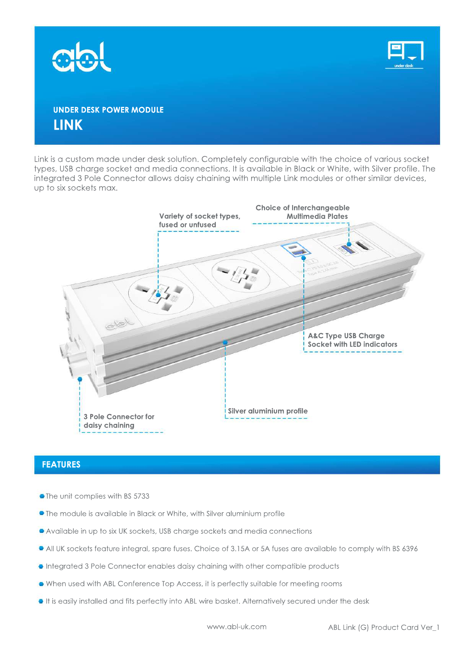



## **UNDER DESK POWER MODULE LINK**

Link is a custom made under desk solution. Completely configurable with the choice of various socket types, USB charge socket and media connections. It is available in Black or White, with Silver profile. The integrated 3 Pole Connector allows daisy chaining with multiple Link modules or other similar devices, up to six sockets max.



#### **FEATURES**

- The unit complies with BS 5733
- **•** The module is available in Black or White, with Silver aluminium profile
- Available in up to six UK sockets, USB charge sockets and media connections
- All UK sockets feature integral, spare fuses. Choice of 3.15A or 5A fuses are available to comply with BS 6396
- $\bullet$  Integrated 3 Pole Connector enables daisy chaining with other compatible products
- $\bullet$  When used with ABL Conference Top Access, it is perfectly suitable for meeting rooms
- $\bullet$  It is easily installed and fits perfectly into ABL wire basket. Alternatively secured under the desk

www.abl-uk.com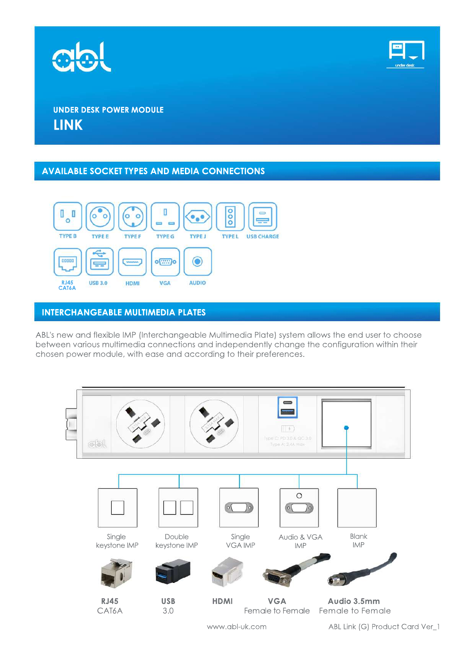



## **UNDER DESK POWER MODULE LINK**

### **AVAILABLE SOCKET TYPES AND MEDIA CONNECTIONS**



## **INTERCHANGEABLE MULTIMEDIA PLATES**

ABL's new and flexible IMP (Interchangeable Multimedia Plate) system allows the end user to choose between various multimedia connections and independently change the configuration within their chosen power module, with ease and according to their preferences.